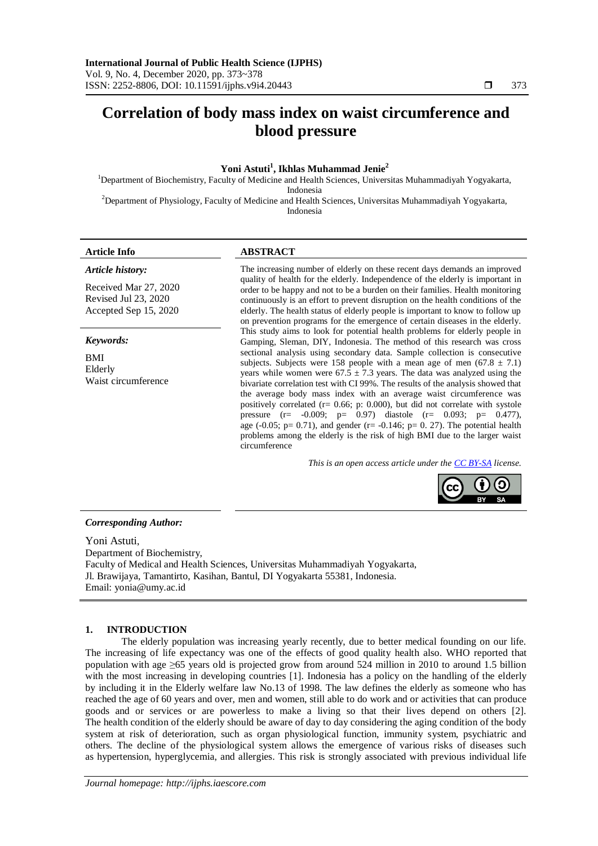# **Correlation of body mass index on waist circumference and blood pressure**

# **Yoni Astuti<sup>1</sup> , Ikhlas Muhammad Jenie<sup>2</sup>**

<sup>1</sup>Department of Biochemistry, Faculty of Medicine and Health Sciences, Universitas Muhammadiyah Yogyakarta, Indonesia <sup>2</sup>Department of Physiology, Faculty of Medicine and Health Sciences, Universitas Muhammadiyah Yogyakarta,

Indonesia

*Article history:*

# **Article Info ABSTRACT**

Received Mar 27, 2020 Revised Jul 23, 2020 Accepted Sep 15, 2020

*Keywords:*

BMI Elderly Waist circumference

The increasing number of elderly on these recent days demands an improved quality of health for the elderly. Independence of the elderly is important in order to be happy and not to be a burden on their families. Health monitoring continuously is an effort to prevent disruption on the health conditions of the elderly. The health status of elderly people is important to know to follow up on prevention programs for the emergence of certain diseases in the elderly. This study aims to look for potential health problems for elderly people in Gamping, Sleman, DIY, Indonesia. The method of this research was cross sectional analysis using secondary data. Sample collection is consecutive subjects. Subjects were 158 people with a mean age of men  $(67.8 \pm 7.1)$ years while women were  $67.5 \pm 7.3$  years. The data was analyzed using the bivariate correlation test with CI 99%. The results of the analysis showed that the average body mass index with an average waist circumference was positively correlated (r= 0.66; p: 0.000), but did not correlate with systole pressure (r=  $-0.009$ ; p=  $0.97$ ) diastole (r= 0.093; p= 0.477), age (-0.05;  $p= 0.71$ ), and gender (r= -0.146;  $p= 0.27$ ). The potential health problems among the elderly is the risk of high BMI due to the larger waist circumference

*This is an open access article under the [CC BY-SA](https://creativecommons.org/licenses/by-sa/4.0/) license.*



### *Corresponding Author:*

Yoni Astuti, Department of Biochemistry, Faculty of Medical and Health Sciences, Universitas Muhammadiyah Yogyakarta, Jl. Brawijaya, Tamantirto, Kasihan, Bantul, DI Yogyakarta 55381, Indonesia. Email: yonia@umy.ac.id

### **1. INTRODUCTION**

The elderly population was increasing yearly recently, due to better medical founding on our life. The increasing of life expectancy was one of the effects of good quality health also. WHO reported that population with age ≥65 years old is projected grow from around 524 million in 2010 to around 1.5 billion with the most increasing in developing countries [1]. Indonesia has a policy on the handling of the elderly by including it in the Elderly welfare law No.13 of 1998. The law defines the elderly as someone who has reached the age of 60 years and over, men and women, still able to do work and or activities that can produce goods and or services or are powerless to make a living so that their lives depend on others [2]. The health condition of the elderly should be aware of day to day considering the aging condition of the body system at risk of deterioration, such as organ physiological function, immunity system, psychiatric and others. The decline of the physiological system allows the emergence of various risks of diseases such as hypertension, hyperglycemia, and allergies. This risk is strongly associated with previous individual life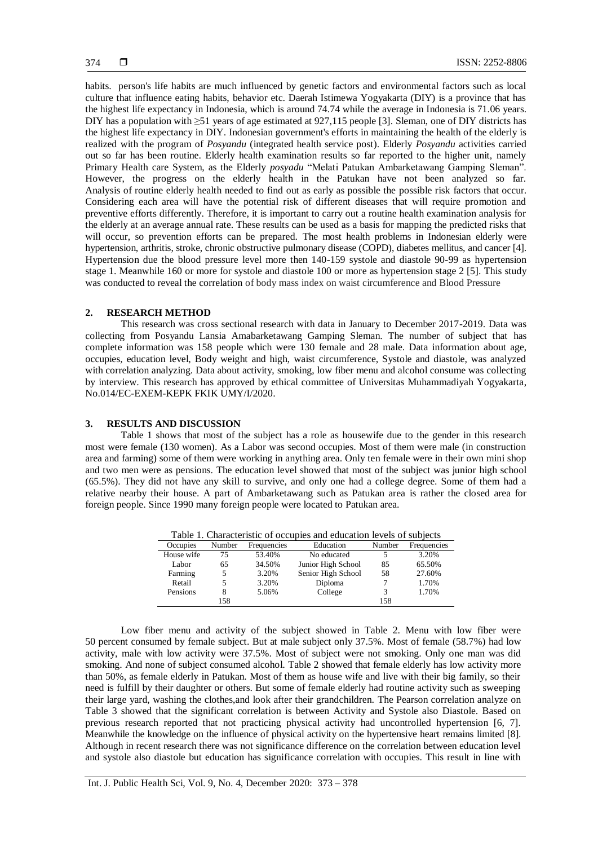habits. person's life habits are much influenced by genetic factors and environmental factors such as local culture that influence eating habits, behavior etc. Daerah Istimewa Yogyakarta (DIY) is a province that has the highest life expectancy in Indonesia, which is around 74.74 while the average in Indonesia is 71.06 years. DIY has a population with ≥51 years of age estimated at 927,115 people [3]. Sleman, one of DIY districts has the highest life expectancy in DIY. Indonesian government's efforts in maintaining the health of the elderly is realized with the program of *Posyandu* (integrated health service post). Elderly *Posyandu* activities carried out so far has been routine. Elderly health examination results so far reported to the higher unit, namely Primary Health care System, as the Elderly *posyadu* "Melati Patukan Ambarketawang Gamping Sleman". However, the progress on the elderly health in the Patukan have not been analyzed so far. Analysis of routine elderly health needed to find out as early as possible the possible risk factors that occur. Considering each area will have the potential risk of different diseases that will require promotion and preventive efforts differently. Therefore, it is important to carry out a routine health examination analysis for the elderly at an average annual rate. These results can be used as a basis for mapping the predicted risks that will occur, so prevention efforts can be prepared. The most health problems in Indonesian elderly were hypertension, arthritis, stroke, chronic obstructive pulmonary disease (COPD), diabetes mellitus, and cancer [4]. Hypertension due the blood pressure level more then 140-159 systole and diastole 90-99 as hypertension stage 1. Meanwhile 160 or more for systole and diastole 100 or more as hypertension stage 2 [5]. This study was conducted to reveal the correlation of body mass index on waist circumference and Blood Pressure

### **2. RESEARCH METHOD**

This research was cross sectional research with data in January to December 2017-2019. Data was collecting from Posyandu Lansia Amabarketawang Gamping Sleman. The number of subject that has complete information was 158 people which were 130 female and 28 male. Data information about age, occupies, education level, Body weight and high, waist circumference, Systole and diastole, was analyzed with correlation analyzing. Data about activity, smoking, low fiber menu and alcohol consume was collecting by interview. This research has approved by ethical committee of Universitas Muhammadiyah Yogyakarta, No.014/EC-EXEM-KEPK FKIK UMY/I/2020.

# **3. RESULTS AND DISCUSSION**

Table 1 shows that most of the subject has a role as housewife due to the gender in this research most were female (130 women). As a Labor was second occupies. Most of them were male (in construction area and farming) some of them were working in anything area. Only ten female were in their own mini shop and two men were as pensions. The education level showed that most of the subject was junior high school (65.5%). They did not have any skill to survive, and only one had a college degree. Some of them had a relative nearby their house. A part of Ambarketawang such as Patukan area is rather the closed area for foreign people. Since 1990 many foreign people were located to Patukan area.

| Table 1. Characteristic of occupies and education levels of subjects |        |             |                    |        |             |
|----------------------------------------------------------------------|--------|-------------|--------------------|--------|-------------|
| Occupies                                                             | Number | Frequencies | Education          | Number | Frequencies |
| House wife                                                           | 75     | 53.40%      | No educated        |        | 3.20%       |
| Labor                                                                | 65     | 34.50%      | Junior High School | 85     | 65.50%      |
| Farming                                                              |        | 3.20%       | Senior High School | 58     | 27.60%      |
| Retail                                                               |        | 3.20%       | Diploma            |        | 1.70%       |
| Pensions                                                             |        | 5.06%       | College            | 3      | 1.70%       |
|                                                                      | 158    |             |                    | 158    |             |

Table 1. Characteristic of occupies and education levels of subjects

Low fiber menu and activity of the subject showed in Table 2. Menu with low fiber were 50 percent consumed by female subject. But at male subject only 37.5%. Most of female (58.7%) had low activity, male with low activity were 37.5%. Most of subject were not smoking. Only one man was did smoking. And none of subject consumed alcohol. Table 2 showed that female elderly has low activity more than 50%, as female elderly in Patukan. Most of them as house wife and live with their big family, so their need is fulfill by their daughter or others. But some of female elderly had routine activity such as sweeping their large yard, washing the clothes,and look after their grandchildren. The Pearson correlation analyze on Table 3 showed that the significant correlation is between Activity and Systole also Diastole. Based on previous research reported that not practicing physical activity had uncontrolled hypertension [6, 7]. Meanwhile the knowledge on the influence of physical activity on the hypertensive heart remains limited [8]. Although in recent research there was not significance difference on the correlation between education level and systole also diastole but education has significance correlation with occupies. This result in line with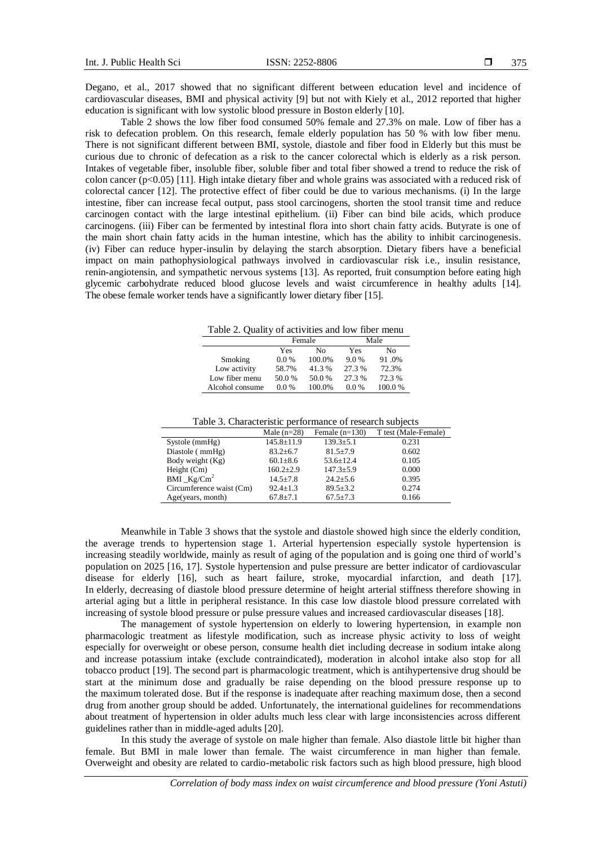Degano, et al., 2017 showed that no significant different between education level and incidence of cardiovascular diseases, BMI and physical activity [9] but not with Kiely et al., 2012 reported that higher education is significant with low systolic blood pressure in Boston elderly [10].

Table 2 shows the low fiber food consumed 50% female and 27.3% on male. Low of fiber has a risk to defecation problem. On this research, female elderly population has 50 % with low fiber menu. There is not significant different between BMI, systole, diastole and fiber food in Elderly but this must be curious due to chronic of defecation as a risk to the cancer colorectal which is elderly as a risk person. Intakes of vegetable fiber, insoluble fiber, soluble fiber and total fiber showed a trend to reduce the risk of colon cancer (p<0.05) [11]. High intake dietary fiber and whole grains was associated with a reduced risk of colorectal cancer [12]. The protective effect of fiber could be due to various mechanisms. (i) In the large intestine, fiber can increase fecal output, pass stool carcinogens, shorten the stool transit time and reduce carcinogen contact with the large intestinal epithelium. (ii) Fiber can bind bile acids, which produce carcinogens. (iii) Fiber can be fermented by intestinal flora into short chain fatty acids. Butyrate is one of the main short chain fatty acids in the human intestine, which has the ability to inhibit carcinogenesis. (iv) Fiber can reduce hyper-insulin by delaying the starch absorption. Dietary fibers have a beneficial impact on main pathophysiological pathways involved in cardiovascular risk i.e., insulin resistance, renin-angiotensin, and sympathetic nervous systems [13]. As reported, fruit consumption before eating high glycemic carbohydrate reduced blood glucose levels and waist circumference in healthy adults [14]. The obese female worker tends have a significantly lower dietary fiber [15].

Table 2. Quality of activities and low fiber menu

|                 |         | Female | Male    |        |  |
|-----------------|---------|--------|---------|--------|--|
|                 | Yes     | No     | Yes     | No     |  |
| Smoking         | $0.0\%$ | 100.0% | 9.0%    | 91.0%  |  |
| Low activity    | 58.7%   | 41.3%  | 27.3 %  | 72.3%  |  |
| Low fiber menu  | 50.0%   | 50.0 % | 27.3 %  | 72.3 % |  |
| Alcohol consume | $0.0\%$ | 100.0% | $0.0\%$ | 100.0% |  |

Table 3. Characteristic performance of research subjects

|                          | Male $(n=28)$    | Female $(n=130)$ | T test (Male-Female) |
|--------------------------|------------------|------------------|----------------------|
| $S$ ystole (mm $Hg$ )    | $145.8 \pm 11.9$ | $139.3 \pm 5.1$  | 0.231                |
| Diastole (mmHg)          | $83.2 + 6.7$     | $81.5 + 7.9$     | 0.602                |
| Body weight (Kg)         | $60.1 \pm 8.6$   | $53.6 \pm 12.4$  | 0.105                |
| Height $(Cm)$            | $160.2 + 2.9$    | $147.3 \pm 5.9$  | 0.000                |
| $BMI_Kg/Cm^2$            | $14.5 + 7.8$     | $24.2 + 5.6$     | 0.395                |
| Circumference waist (Cm) | $92.4 + 1.3$     | $89.5 \pm 3.2$   | 0.274                |
| Age(years, month)        | $67.8 \pm 7.1$   | $67.5 \pm 7.3$   | 0.166                |

Meanwhile in Table 3 shows that the systole and diastole showed high since the elderly condition, the average trends to hypertension stage 1. Arterial hypertension especially systole hypertension is increasing steadily worldwide, mainly as result of aging of the population and is going one third of world's population on 2025 [16, 17]. Systole hypertension and pulse pressure are better indicator of cardiovascular disease for elderly [16], such as heart failure, stroke, myocardial infarction, and death [17]. In elderly, decreasing of diastole blood pressure determine of height arterial stiffness therefore showing in arterial aging but a little in peripheral resistance. In this case low diastole blood pressure correlated with increasing of systole blood pressure or pulse pressure values and increased cardiovascular diseases [18].

The management of systole hypertension on elderly to lowering hypertension, in example non pharmacologic treatment as lifestyle modification, such as increase physic activity to loss of weight especially for overweight or obese person, consume health diet including decrease in sodium intake along and increase potassium intake (exclude contraindicated), moderation in alcohol intake also stop for all tobacco product [19]. The second part is pharmacologic treatment, which is antihypertensive drug should be start at the minimum dose and gradually be raise depending on the blood pressure response up to the maximum tolerated dose. But if the response is inadequate after reaching maximum dose, then a second drug from another group should be added. Unfortunately, the international guidelines for recommendations about treatment of hypertension in older adults much less clear with large inconsistencies across different guidelines rather than in middle-aged adults [20].

In this study the average of systole on male higher than female. Also diastole little bit higher than female. But BMI in male lower than female. The waist circumference in man higher than female. Overweight and obesity are related to cardio-metabolic risk factors such as high blood pressure, high blood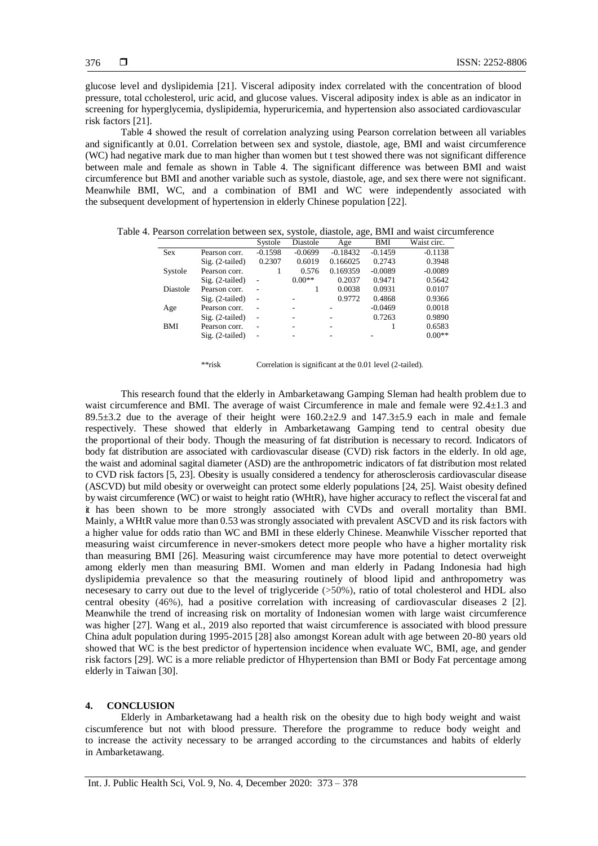glucose level and dyslipidemia [21]. Visceral adiposity index correlated with the concentration of blood pressure, total ccholesterol, uric acid, and glucose values. Visceral adiposity index is able as an indicator in screening for hyperglycemia, dyslipidemia, hyperuricemia, and hypertension also associated cardiovascular risk factors [21].

Table 4 showed the result of correlation analyzing using Pearson correlation between all variables and significantly at 0.01. Correlation between sex and systole, diastole, age, BMI and waist circumference (WC) had negative mark due to man higher than women but t test showed there was not significant difference between male and female as shown in Table 4. The significant difference was between BMI and waist circumference but BMI and another variable such as systole, diastole, age, and sex there were not significant. Meanwhile BMI, WC, and a combination of BMI and WC were independently associated with the subsequent development of hypertension in elderly Chinese population [22].

|            |                   | Systole   | Diastole  | Age        | BMI       | Waist circ. |
|------------|-------------------|-----------|-----------|------------|-----------|-------------|
| <b>Sex</b> | Pearson corr.     | $-0.1598$ | $-0.0699$ | $-0.18432$ | $-0.1459$ | $-0.1138$   |
|            | $Sig. (2-tailed)$ | 0.2307    | 0.6019    | 0.166025   | 0.2743    | 0.3948      |
| Systole    | Pearson corr.     |           | 0.576     | 0.169359   | $-0.0089$ | $-0.0089$   |
|            | $Sig. (2-tailed)$ | ٠         | $0.00**$  | 0.2037     | 0.9471    | 0.5642      |
| Diastole   | Pearson corr.     |           |           | 0.0038     | 0.0931    | 0.0107      |
|            | $Sig. (2-tailed)$ | ٠         |           | 0.9772     | 0.4868    | 0.9366      |
| Age        | Pearson corr.     | ٠         |           | ۰          | $-0.0469$ | 0.0018      |
|            | $Sig. (2-tailed)$ | ٠         |           |            | 0.7263    | 0.9890      |
| <b>BMI</b> | Pearson corr.     | ٠         |           | ۰          |           | 0.6583      |
|            | $Sig. (2-tailed)$ | ٠         |           | ۰          | ۰         | $0.00**$    |

Table 4. Pearson correlation between sex, systole, diastole, age, BMI and waist circumference

\*\*risk Correlation is significant at the 0.01 level (2-tailed).

This research found that the elderly in Ambarketawang Gamping Sleman had health problem due to waist circumference and BMI. The average of waist Circumference in male and female were 92.4±1.3 and 89.5 $\pm$ 3.2 due to the average of their height were 160.2 $\pm$ 2.9 and 147.3 $\pm$ 5.9 each in male and female respectively. These showed that elderly in Ambarketawang Gamping tend to central obesity due the proportional of their body. Though the measuring of fat distribution is necessary to record. Indicators of body fat distribution are associated with cardiovascular disease (CVD) risk factors in the elderly. In old age, the waist and adominal sagital diameter (ASD) are the anthropometric indicators of fat distribution most related to CVD risk factors [5, 23]. Obesity is usually considered a tendency for atherosclerosis cardiovascular disease (ASCVD) but mild obesity or overweight can protect some elderly populations [24, 25]. Waist obesity defined by waist circumference (WC) or waist to height ratio (WHtR), have higher accuracy to reflect the visceralfat and it has been shown to be more strongly associated with CVDs and overall mortality than BMI. Mainly, a WHtR value more than 0.53 wasstrongly associated with prevalent ASCVD and its risk factors with a higher value for odds ratio than WC and BMI in these elderly Chinese. Meanwhile Visscher reported that measuring waist circumference in never-smokers detect more people who have a higher mortality risk than measuring BMI [26]. Measuring waist circumference may have more potential to detect overweight among elderly men than measuring BMI. Women and man elderly in Padang Indonesia had high dyslipidemia prevalence so that the measuring routinely of blood lipid and anthropometry was necesesary to carry out due to the level of triglyceride (>50%), ratio of total cholesterol and HDL also central obesity (46%), had a positive correlation with increasing of cardiovascular diseases 2 [2]. Meanwhile the trend of increasing risk on mortality of Indonesian women with large waist circumference was higher [27]. Wang et al., 2019 also reported that waist circumference is associated with blood pressure China adult population during 1995-2015 [28] also amongst Korean adult with age between 20-80 years old showed that WC is the best predictor of hypertension incidence when evaluate WC, BMI, age, and gender risk factors [29]. WC is a more reliable predictor of Hhypertension than BMI or Body Fat percentage among elderly in Taiwan [30].

# **4. CONCLUSION**

Elderly in Ambarketawang had a health risk on the obesity due to high body weight and waist ciscumference but not with blood pressure. Therefore the programme to reduce body weight and to increase the activity necessary to be arranged according to the circumstances and habits of elderly in Ambarketawang.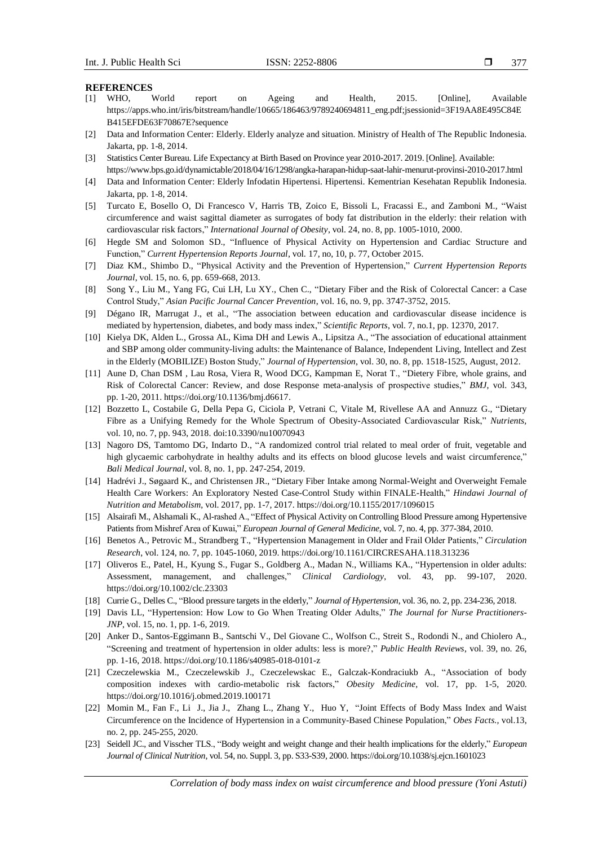#### **REFERENCES**

- [1] WHO, World report on Ageing and Health, 2015. [Online], Available https://apps.who.int/iris/bitstream/handle/10665/186463/9789240694811\_eng.pdf;jsessionid=3F19AA8E495C84E B415EFDE63F70867E?sequence
- [2] Data and Information Center: Elderly. Elderly analyze and situation. Ministry of Health of The Republic Indonesia. Jakarta, pp. 1-8, 2014.
- [3] Statistics Center Bureau. Life Expectancy at Birth Based on Province year 2010-2017. 2019. [Online]. Available: <https://www.bps.go.id/dynamictable/2018/04/16/1298/angka-harapan-hidup-saat-lahir-menurut-provinsi-2010-2017.html>
- [4] Data and Information Center: Elderly Infodatin Hipertensi. Hipertensi. Kementrian Kesehatan Republik Indonesia. Jakarta, pp. 1-8, 2014.
- [5] Turcato E, Bosello O, Di Francesco V, Harris TB, Zoico E, Bissoli L, Fracassi E., and Zamboni M., "Waist circumference and waist sagittal diameter as surrogates of body fat distribution in the elderly: their relation with cardiovascular risk factors," *International Journal of Obesity*, vol. 24, no. 8, pp. 1005-1010, 2000.
- [6] Hegde SM and Solomon SD., "Influence of Physical Activity on Hypertension and Cardiac Structure and Function," *Current Hypertension Reports Journal*, vol. 17, no, 10, p. 77, October 2015.
- [7] Diaz KM., Shimbo D., "Physical Activity and the Prevention of Hypertension," *Current Hypertension Reports Journal*, vol. 15, no. 6, pp. 659-668, 2013.
- [8] Song Y., Liu M., Yang FG, Cui LH, Lu XY., Chen C., "Dietary Fiber and the Risk of Colorectal Cancer: a Case Control Study," *Asian Pacific Journal Cancer Prevention*, vol. 16, no. 9, pp. 3747-3752, 2015.
- [9] Dégano IR, Marrugat J., et al., "The association between education and cardiovascular disease incidence is mediated by hypertension, diabetes, and body mass index," *Scientific Reports*, vol. 7, no.1, pp. 12370, 2017.
- [10] Kielya DK, Alden L., Grossa AL, Kima DH and Lewis A., Lipsitza A., "The association of educational attainment and SBP among older community-living adults: the Maintenance of Balance, Independent Living, Intellect and Zest in the Elderly (MOBILIZE) Boston Study," *Journal of Hypertension*, vol. 30, no. 8, pp. 1518-1525, August, 2012.
- [11] Aune D, Chan DSM , Lau Rosa, Viera R, Wood DCG, Kampman E, Norat T., "Dietery Fibre, whole grains, and Risk of Colorectal Cancer: Review, and dose Response meta-analysis of prospective studies," *BMJ*, vol. 343, pp. 1-20, 2011. https://doi.org/10.1136/bmj.d6617.
- [12] Bozzetto L, Costabile G, Della Pepa G, Ciciola P, Vetrani C, Vitale M, Rivellese AA and Annuzz G., "Dietary Fibre as a Unifying Remedy for the Whole Spectrum of Obesity-Associated Cardiovascular Risk," *Nutrients,* vol. 10, no. 7, pp. 943, 2018. doi:10.3390/nu10070943
- [13] Nagoro DS, Tamtomo DG, Indarto D., "A randomized control trial related to meal order of fruit, vegetable and high glycaemic carbohydrate in healthy adults and its effects on blood glucose levels and waist circumference," *Bali Medical Journal*, vol. 8, no. 1, pp. 247-254, 2019.
- [14] Hadrévi J., Søgaard K., and Christensen JR., "Dietary Fiber Intake among Normal-Weight and Overweight Female Health Care Workers: An Exploratory Nested Case-Control Study within FINALE-Health," *Hindawi Journal of Nutrition and Metabolism*, vol. 2017, pp. 1-7, 2017. https://doi.org/10.1155/2017/1096015
- [15] Alsairafi M., Alshamali K., Al-rashed A., "Effect of Physical Activity on Controlling Blood Pressure among Hypertensive Patients from Mishref Area of Kuwai," *European Journal of General Medicine*, vol. 7, no. 4, pp. 377-384, 2010.
- [16] Benetos A., Petrovic M., Strandberg T., "Hypertension Management in Older and Frail Older Patients," *Circulation Research*, vol. 124, no. 7, pp. 1045-1060, 2019[. https://doi.org/10.1161/CIRCRESAHA.118.313236](https://doi.org/10.1161/CIRCRESAHA.118.313236)
- [17] Oliveros E., Patel, H., Kyung S., Fugar S., Goldberg A., Madan N., Williams KA., "Hypertension in older adults: Assessment, management, and challenges," *Clinical Cardiology*, vol. 43, pp. 99-107, 2020. <https://doi.org/10.1002/clc.23303>
- [18] Currie G., Delles C., "Blood pressure targets in the elderly," *Journal of Hypertension*, vol. 36, no. 2, pp. 234-236, 2018.
- [19] Davis LL, "Hypertension: How Low to Go When Treating Older Adults," *The Journal for Nurse Practitioners-JNP*, vol. 15, no. 1, pp. 1-6, 2019.
- [20] Anker D., Santos-Eggimann B., Santschi V., Del Giovane C., Wolfson C., Streit S., Rodondi N., and Chiolero A., "Screening and treatment of hypertension in older adults: less is more?," *Public Health Reviews*, vol. 39, no. 26, pp. 1-16, 2018[. https://doi.org/10.1186/s40985-018-0101-z](https://doi.org/10.1186/s40985-018-0101-z)
- [21] Czeczelewskia M., Czeczelewskib J., Czeczelewskac E., Galczak-Kondraciukb A., "Association of body composition indexes with cardio-metabolic risk factors," *Obesity Medicine*, vol. 17, pp. 1-5, 2020. <https://doi.org/10.1016/j.obmed.2019.100171>
- [22] Momin M., Fan F., Li J., Jia J., Zhang L., Zhang Y., Huo Y, "Joint Effects of Body Mass Index and Waist Circumference on the Incidence of Hypertension in a Community-Based Chinese Population," *Obes Facts.,* vol.13, no. 2, pp. 245-255, 2020.
- [23] Seidell JC., and Visscher TLS., "Body weight and weight change and their health implications for the elderly," *European Journal of Clinical Nutrition*, vol. 54, no. Suppl. 3, pp. S33-S39, 2000. https://doi.org/10.1038/sj.ejcn.1601023